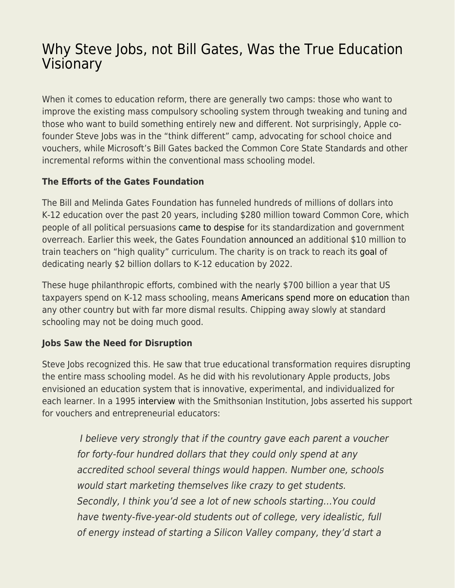## [Why Steve Jobs, not Bill Gates, Was the True Education](https://everything-voluntary.com/why-steve-jobs-not-bill-gates-was-the-true-education-visionary) [Visionary](https://everything-voluntary.com/why-steve-jobs-not-bill-gates-was-the-true-education-visionary)

When it comes to education reform, there are generally two camps: those who want to improve the existing mass compulsory schooling system through tweaking and tuning and those who want to build something entirely new and different. Not surprisingly, Apple cofounder Steve Jobs was in the "think different" camp, advocating for school choice and vouchers, while Microsoft's Bill Gates backed the Common Core State Standards and other incremental reforms within the conventional mass schooling model.

## **The Efforts of the Gates Foundation**

The Bill and Melinda Gates Foundation has funneled hundreds of millions of dollars into K-12 education over the past 20 years, including \$280 million toward Common Core, which people of all political persuasions [came to despise](https://www.newsweek.com/2015/10/09/how-republicans-turned-common-core-377346.html) for its standardization and government overreach. Earlier this week, the Gates Foundation [announced](http://www.edweek.org/ew/articles/2019/01/07/gates-giving-millions-to-train-teachers-on.html) an additional \$10 million to train teachers on "high quality" curriculum. The charity is on track to reach its [goal](http://www.edweek.org/ew/articles/2017/10/19/gates-foundation-announces-new-17b-for-k-12.html) of dedicating nearly \$2 billion dollars to K-12 education by 2022.

These huge philanthropic efforts, combined with the nearly \$700 billion a year that US taxpayers spend on K-12 mass schooling, means [Americans spend more on education](https://www.theguardian.com/us-news/2018/sep/07/us-education-spending-finland-south-korea) than any other country but with far more dismal results. Chipping away slowly at standard schooling may not be doing much good.

## **Jobs Saw the Need for Disruption**

Steve Jobs recognized this. He saw that true educational transformation requires disrupting the entire mass schooling model. As he did with his revolutionary Apple products, Jobs envisioned an education system that is innovative, experimental, and individualized for each learner. In a 1995 [interview](http://americanhistory.si.edu/comphist/sj1.html) with the Smithsonian Institution, Jobs asserted his support for vouchers and entrepreneurial educators:

 I believe very strongly that if the country gave each parent a voucher for forty-four hundred dollars that they could only spend at any accredited school several things would happen. Number one, schools would start marketing themselves like crazy to get students. Secondly, I think you'd see a lot of new schools starting…You could have twenty-five-year-old students out of college, very idealistic, full of energy instead of starting a Silicon Valley company, they'd start a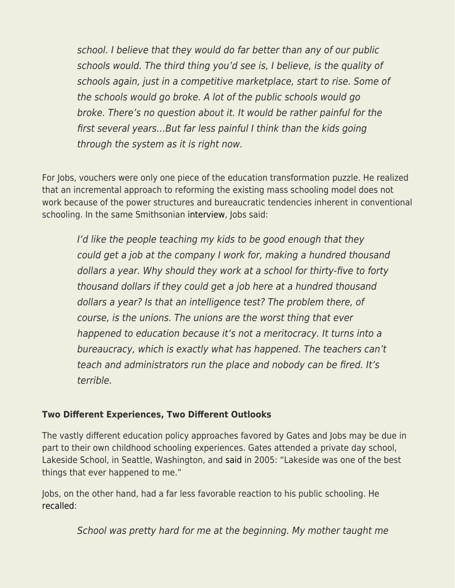school. I believe that they would do far better than any of our public schools would. The third thing you'd see is, I believe, is the quality of schools again, just in a competitive marketplace, start to rise. Some of the schools would go broke. A lot of the public schools would go broke. There's no question about it. It would be rather painful for the first several years…But far less painful I think than the kids going through the system as it is right now.

For Jobs, vouchers were only one piece of the education transformation puzzle. He realized that an incremental approach to reforming the existing mass schooling model does not work because of the power structures and bureaucratic tendencies inherent in conventional schooling. In the same Smithsonian [interview,](http://americanhistory.si.edu/comphist/sj1.html) Jobs said:

I'd like the people teaching my kids to be good enough that they could get a job at the company I work for, making a hundred thousand dollars a year. Why should they work at a school for thirty-five to forty thousand dollars if they could get a job here at a hundred thousand dollars a year? Is that an intelligence test? The problem there, of course, is the unions. The unions are the worst thing that ever happened to education because it's not a meritocracy. It turns into a bureaucracy, which is exactly what has happened. The teachers can't teach and administrators run the place and nobody can be fired. It's terrible.

## **Two Different Experiences, Two Different Outlooks**

The vastly different education policy approaches favored by Gates and Jobs may be due in part to their own childhood schooling experiences. Gates attended a private day school, Lakeside School, in Seattle, Washington, and [said](https://www.gatesfoundation.org/media-center/speeches/2005/09/bill-gates-lakeside-school) in 2005: "Lakeside was one of the best things that ever happened to me."

Jobs, on the other hand, had a far less favorable reaction to his public schooling. He [recalled:](http://americanhistory.si.edu/comphist/sj1.html)

School was pretty hard for me at the beginning. My mother taught me